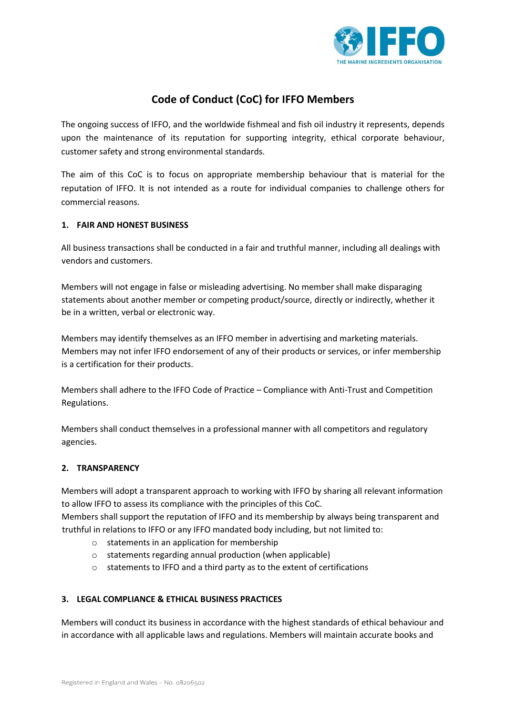

# **Code of Conduct (CoC) for IFFO Members**

The ongoing success of IFFO, and the worldwide fishmeal and fish oil industry it represents, depends upon the maintenance of its reputation for supporting integrity, ethical corporate behaviour, customer safety and strong environmental standards.

The aim of this CoC is to focus on appropriate membership behaviour that is material for the reputation of IFFO. It is not intended as a route for individual companies to challenge others for commercial reasons.

## **1. FAIR AND HONEST BUSINESS**

All business transactions shall be conducted in a fair and truthful manner, including all dealings with vendors and customers.

Members will not engage in false or misleading advertising. No member shall make disparaging statements about another member or competing product/source, directly or indirectly, whether it be in a written, verbal or electronic way.

Members may identify themselves as an IFFO member in advertising and marketing materials. Members may not infer IFFO endorsement of any of their products or services, or infer membership is a certification for their products.

Members shall adhere to the IFFO Code of Practice – Compliance with Anti-Trust and Competition Regulations.

Members shall conduct themselves in a professional manner with all competitors and regulatory agencies.

## **2. TRANSPARENCY**

Members will adopt a transparent approach to working with IFFO by sharing all relevant information to allow IFFO to assess its compliance with the principles of this CoC.

Members shall support the reputation of IFFO and its membership by always being transparent and truthful in relations to IFFO or any IFFO mandated body including, but not limited to:

- o statements in an application for membership
- o statements regarding annual production (when applicable)
- o statements to IFFO and a third party as to the extent of certifications

## **3. LEGAL COMPLIANCE & ETHICAL BUSINESS PRACTICES**

Members will conduct its business in accordance with the highest standards of ethical behaviour and in accordance with all applicable laws and regulations. Members will maintain accurate books and